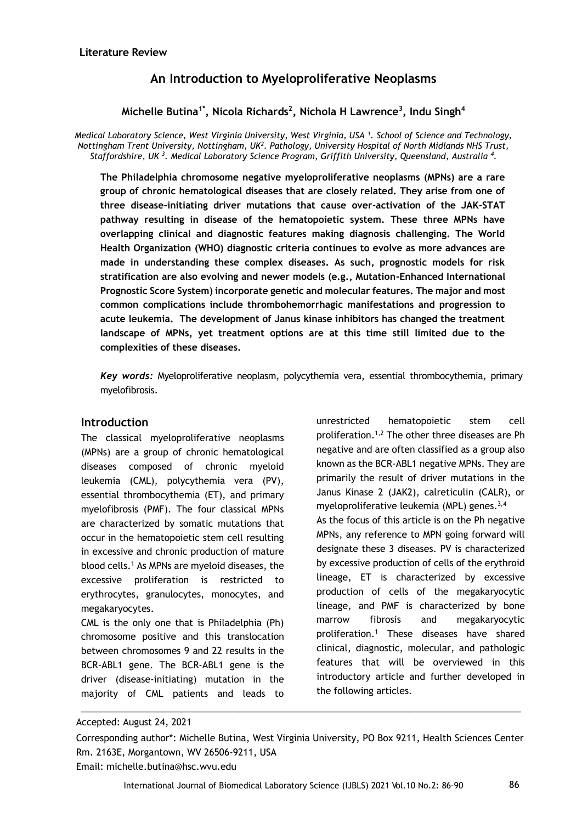# **An Introduction to Myeloproliferative Neoplasms**

# **Michelle Butina1\* , Nicola Richards<sup>2</sup> , Nichola H Lawrence<sup>3</sup> , Indu Singh<sup>4</sup>**

*Medical Laboratory Science, West Virginia University, West Virginia, USA <sup>1</sup> . School of Science and Technology, Nottingham Trent University, Nottingham, UK<sup>2</sup> . Pathology, University Hospital of North Midlands NHS Trust,*   $S$ taffordshire, UK <sup>3</sup>. Medical Laboratory Science Program, Griffith University, Queensland, Australia <sup>4</sup>.

**The Philadelphia chromosome negative myeloproliferative neoplasms (MPNs) are a rare group of chronic hematological diseases that are closely related. They arise from one of three disease-initiating driver mutations that cause over-activation of the JAK-STAT pathway resulting in disease of the hematopoietic system. These three MPNs have overlapping clinical and diagnostic features making diagnosis challenging. The World Health Organization (WHO) diagnostic criteria continues to evolve as more advances are made in understanding these complex diseases. As such, prognostic models for risk stratification are also evolving and newer models (e.g., Mutation-Enhanced International Prognostic Score System) incorporate genetic and molecular features. The major and most common complications include thrombohemorrhagic manifestations and progression to acute leukemia. The development of Janus kinase inhibitors has changed the treatment landscape of MPNs, yet treatment options are at this time still limited due to the complexities of these diseases.** 

*Key words:* Myeloproliferative neoplasm, polycythemia vera, essential thrombocythemia, primary myelofibrosis.

### **Introduction**

The classical myeloproliferative neoplasms (MPNs) are a group of chronic hematological diseases composed of chronic myeloid leukemia (CML), polycythemia vera (PV), essential thrombocythemia (ET), and primary myelofibrosis (PMF). The four classical MPNs are characterized by somatic mutations that occur in the hematopoietic stem cell resulting in excessive and chronic production of mature blood cells.<sup>1</sup> As MPNs are myeloid diseases, the excessive proliferation is restricted to erythrocytes, granulocytes, monocytes, and megakaryocytes.

CML is the only one that is Philadelphia (Ph) chromosome positive and this translocation between chromosomes 9 and 22 results in the BCR-ABL1 gene. The BCR-ABL1 gene is the driver (disease-initiating) mutation in the majority of CML patients and leads to

unrestricted hematopoietic stem cell proliferation.1,2 The other three diseases are Ph negative and are often classified as a group also known as the BCR-ABL1 negative MPNs. They are primarily the result of driver mutations in the Janus Kinase 2 (JAK2), calreticulin (CALR), or myeloproliferative leukemia (MPL) genes. $3,4$ As the focus of this article is on the Ph negative MPNs, any reference to MPN going forward will designate these 3 diseases. PV is characterized by excessive production of cells of the erythroid lineage, ET is characterized by excessive production of cells of the megakaryocytic lineage, and PMF is characterized by bone marrow fibrosis and megakaryocytic proliferation.<sup>1</sup> These diseases have shared clinical, diagnostic, molecular, and pathologic features that will be overviewed in this introductory article and further developed in the following articles.

Accepted: August 24, 2021

\_\_\_\_\_\_\_\_\_\_\_\_\_\_\_\_\_\_\_\_\_\_\_\_\_\_\_\_\_\_\_\_\_\_\_\_\_\_\_\_\_\_\_\_\_\_\_\_\_\_\_\_\_\_\_\_\_\_\_\_\_\_\_\_\_\_\_\_\_\_\_\_\_\_\_\_\_\_\_\_\_\_\_\_\_\_

Corresponding author\*: Michelle Butina, West Virginia University, PO Box 9211, Health Sciences Center Rm. 2163E, Morgantown, WV 26506-9211, USA

Email: michelle.butina@hsc.wvu.edu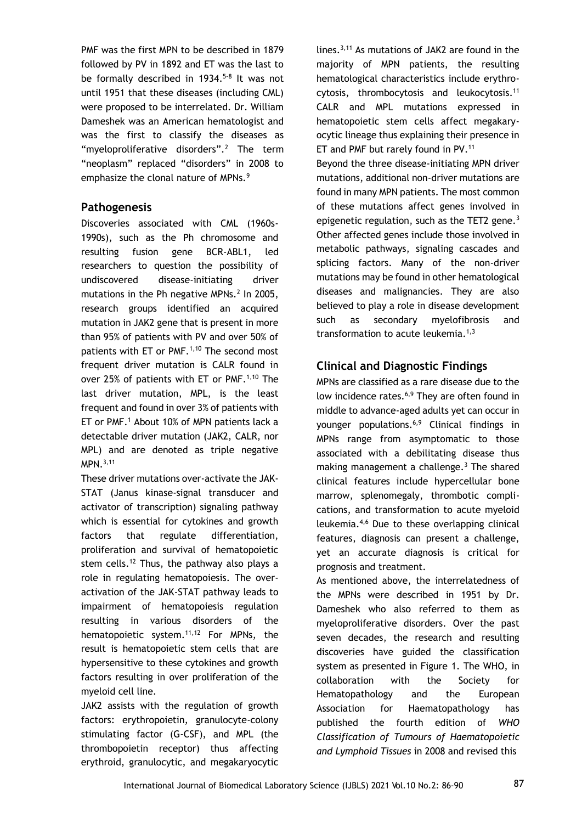PMF was the first MPN to be described in 1879 followed by PV in 1892 and ET was the last to be formally described in 1934.<sup>5-8</sup> It was not until 1951 that these diseases (including CML) were proposed to be interrelated. Dr. William Dameshek was an American hematologist and was the first to classify the diseases as "myeloproliferative disorders".<sup>2</sup> The term "neoplasm" replaced "disorders" in 2008 to emphasize the clonal nature of MPNs.<sup>9</sup>

### **Pathogenesis**

Discoveries associated with CML (1960s-1990s), such as the Ph chromosome and resulting fusion gene BCR-ABL1, led researchers to question the possibility of undiscovered disease-initiating driver mutations in the Ph negative MPNs. $^2$  In 2005, research groups identified an acquired mutation in JAK2 gene that is present in more than 95% of patients with PV and over 50% of patients with ET or PMF.<sup>1,10</sup> The second most frequent driver mutation is CALR found in over 25% of patients with ET or PMF.<sup>1,10</sup> The last driver mutation, MPL, is the least frequent and found in over 3% of patients with ET or PMF.<sup>1</sup> About 10% of MPN patients lack a detectable driver mutation (JAK2, CALR, nor MPL) and are denoted as triple negative MPN.3,11

These driver mutations over-activate the JAK-STAT (Janus kinase-signal transducer and activator of transcription) signaling pathway which is essential for cytokines and growth factors that regulate differentiation, proliferation and survival of hematopoietic stem cells.<sup>12</sup> Thus, the pathway also plays a role in regulating hematopoiesis. The overactivation of the JAK-STAT pathway leads to impairment of hematopoiesis regulation resulting in various disorders of the hematopoietic system.<sup>11,12</sup> For MPNs, the result is hematopoietic stem cells that are hypersensitive to these cytokines and growth factors resulting in over proliferation of the myeloid cell line.

JAK2 assists with the regulation of growth factors: erythropoietin, granulocyte-colony stimulating factor (G-CSF), and MPL (the thrombopoietin receptor) thus affecting erythroid, granulocytic, and megakaryocytic lines.3,11 As mutations of JAK2 are found in the majority of MPN patients, the resulting hematological characteristics include erythrocytosis, thrombocytosis and leukocytosis.<sup>11</sup> CALR and MPL mutations expressed in hematopoietic stem cells affect megakaryocytic lineage thus explaining their presence in ET and PMF but rarely found in PV.<sup>11</sup>

Beyond the three disease-initiating MPN driver mutations, additional non-driver mutations are found in many MPN patients. The most common of these mutations affect genes involved in epigenetic regulation, such as the TET2 gene. $3$ Other affected genes include those involved in metabolic pathways, signaling cascades and splicing factors. Many of the non-driver mutations may be found in other hematological diseases and malignancies. They are also believed to play a role in disease development such as secondary myelofibrosis and transformation to acute leukemia. $1,3$ 

# **Clinical and Diagnostic Findings**

MPNs are classified as a rare disease due to the low incidence rates.<sup>6,9</sup> They are often found in middle to advance-aged adults yet can occur in younger populations.6,9 Clinical findings in MPNs range from asymptomatic to those associated with a debilitating disease thus making management a challenge. $3$  The shared clinical features include hypercellular bone marrow, splenomegaly, thrombotic complications, and transformation to acute myeloid leukemia.4,6 Due to these overlapping clinical features, diagnosis can present a challenge, yet an accurate diagnosis is critical for prognosis and treatment.

As mentioned above, the interrelatedness of the MPNs were described in 1951 by Dr. Dameshek who also referred to them as myeloproliferative disorders. Over the past seven decades, the research and resulting discoveries have guided the classification system as presented in Figure 1. The WHO, in collaboration with the Society for Hematopathology and the European Association for Haematopathology has published the fourth edition of *WHO Classification of Tumours of Haematopoietic and Lymphoid Tissues* in 2008 and revised this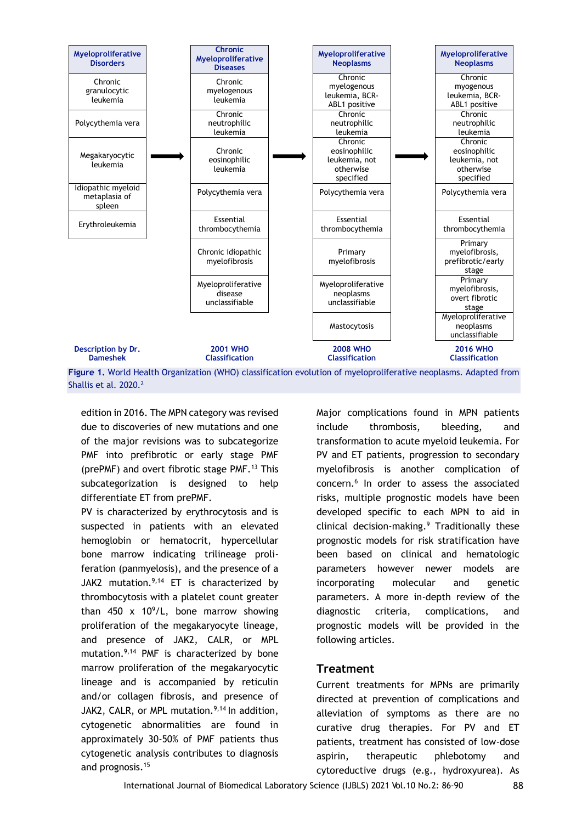

**Figure 1.** World Health Organization (WHO) classification evolution of myeloproliferative neoplasms. Adapted from Shallis et al. 2020.<sup>2</sup>

edition in 2016. The MPN category was revised due to discoveries of new mutations and one of the major revisions was to subcategorize PMF into prefibrotic or early stage PMF (prePMF) and overt fibrotic stage PMF.<sup>13</sup> This subcategorization is designed to help differentiate ET from prePMF.

PV is characterized by erythrocytosis and is suspected in patients with an elevated hemoglobin or hematocrit, hypercellular bone marrow indicating trilineage proliferation (panmyelosis), and the presence of a JAK2 mutation. $9,14$  ET is characterized by thrombocytosis with a platelet count greater than 450 x 10<sup>9</sup>/L, bone marrow showing proliferation of the megakaryocyte lineage, and presence of JAK2, CALR, or MPL mutation.<sup>9,14</sup> PMF is characterized by bone marrow proliferation of the megakaryocytic lineage and is accompanied by reticulin and/or collagen fibrosis, and presence of JAK2, CALR, or MPL mutation. $9,14$  In addition, cytogenetic abnormalities are found in approximately 30-50% of PMF patients thus cytogenetic analysis contributes to diagnosis and prognosis.<sup>15</sup>

Major complications found in MPN patients include thrombosis, bleeding, and transformation to acute myeloid leukemia. For PV and ET patients, progression to secondary myelofibrosis is another complication of concern.<sup>6</sup> In order to assess the associated risks, multiple prognostic models have been developed specific to each MPN to aid in clinical decision-making.<sup>9</sup> Traditionally these prognostic models for risk stratification have been based on clinical and hematologic parameters however newer models are incorporating molecular and genetic parameters. A more in-depth review of the diagnostic criteria, complications, and prognostic models will be provided in the following articles.

### **Treatment**

Current treatments for MPNs are primarily directed at prevention of complications and alleviation of symptoms as there are no curative drug therapies. For PV and ET patients, treatment has consisted of low-dose aspirin, therapeutic phlebotomy and cytoreductive drugs (e.g., hydroxyurea). As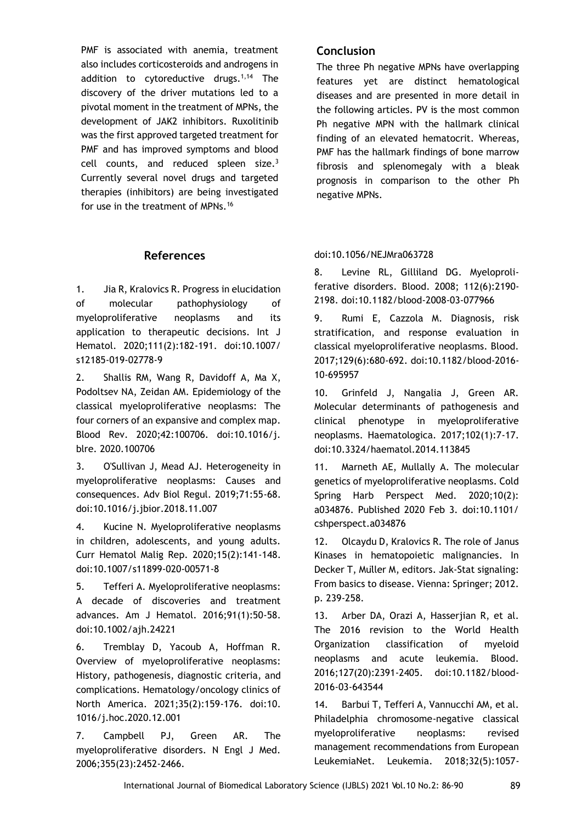PMF is associated with anemia, treatment also includes corticosteroids and androgens in addition to cytoreductive drugs.<sup>1,14</sup> The discovery of the driver mutations led to a pivotal moment in the treatment of MPNs, the development of JAK2 inhibitors. Ruxolitinib was the first approved targeted treatment for PMF and has improved symptoms and blood cell counts, and reduced spleen size. $3$ Currently several novel drugs and targeted therapies (inhibitors) are being investigated for use in the treatment of MPNs.<sup>16</sup>

### **References**

1. Jia R, Kralovics R. Progress in elucidation of molecular pathophysiology of myeloproliferative neoplasms and its application to therapeutic decisions. Int J Hematol. 2020;111(2):182-191. doi:10.1007/ s12185-019-02778-9

2. Shallis RM, Wang R, Davidoff A, Ma X, Podoltsev NA, Zeidan AM. Epidemiology of the classical myeloproliferative neoplasms: The four corners of an expansive and complex map. Blood Rev. 2020;42:100706. doi:10.1016/j. blre. 2020.100706

3. O'Sullivan J, Mead AJ. Heterogeneity in myeloproliferative neoplasms: Causes and consequences. Adv Biol Regul. 2019;71:55-68. doi:10.1016/j.jbior.2018.11.007

4. Kucine N. Myeloproliferative neoplasms in children, adolescents, and young adults. Curr Hematol Malig Rep. 2020;15(2):141-148. doi:10.1007/s11899-020-00571-8

5. Tefferi A. Myeloproliferative neoplasms: A decade of discoveries and treatment advances. Am J Hematol. 2016;91(1):50-58. doi:10.1002/ajh.24221

6. Tremblay D, Yacoub A, Hoffman R. Overview of myeloproliferative neoplasms: History, pathogenesis, diagnostic criteria, and complications. Hematology/oncology clinics of North America. 2021;35(2):159-176. doi:10. 1016/j.hoc.2020.12.001

7. Campbell PJ, Green AR. The myeloproliferative disorders. N Engl J Med. 2006;355(23):2452-2466.

### **Conclusion**

The three Ph negative MPNs have overlapping features yet are distinct hematological diseases and are presented in more detail in the following articles. PV is the most common Ph negative MPN with the hallmark clinical finding of an elevated hematocrit. Whereas, PMF has the hallmark findings of bone marrow fibrosis and splenomegaly with a bleak prognosis in comparison to the other Ph negative MPNs.

### doi:10.1056/NEJMra063728

8. Levine RL, Gilliland DG. Myeloproliferative disorders. Blood. 2008; 112(6):2190- 2198. doi:10.1182/blood-2008-03-077966

9. Rumi E, Cazzola M. Diagnosis, risk stratification, and response evaluation in classical myeloproliferative neoplasms. Blood. 2017;129(6):680-692. doi:10.1182/blood-2016- 10-695957

10. Grinfeld J, Nangalia J, Green AR. Molecular determinants of pathogenesis and clinical phenotype in myeloproliferative neoplasms. Haematologica. 2017;102(1):7-17. doi:10.3324/haematol.2014.113845

11. Marneth AE, Mullally A. The molecular genetics of myeloproliferative neoplasms. Cold Spring Harb Perspect Med. 2020;10(2): a034876. Published 2020 Feb 3. doi:10.1101/ cshperspect.a034876

12. Olcaydu D, Kralovics R. The role of Janus Kinases in hematopoietic malignancies. In Decker T, Müller M, editors. Jak-Stat signaling: From basics to disease. Vienna: Springer; 2012. p. 239-258.

13. Arber DA, Orazi A, Hasserjian R, et al. The 2016 revision to the World Health Organization classification of myeloid neoplasms and acute leukemia. Blood. 2016;127(20):2391-2405. doi:10.1182/blood-2016-03-643544

14. Barbui T, Tefferi A, Vannucchi AM, et al. Philadelphia chromosome-negative classical myeloproliferative neoplasms: revised management recommendations from European LeukemiaNet. Leukemia. 2018;32(5):1057-